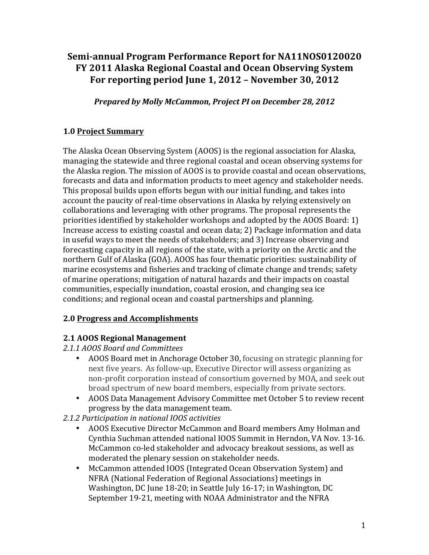# **Semi-annual Program Performance Report for NA11NOS0120020 FY 2011 Alaska Regional Coastal and Ocean Observing System For reporting period June 1, 2012 - November 30, 2012**

*Prepared by Molly McCammon, Project PI on December 28, 2012* 

## **1.0 Project Summary**

The Alaska Ocean Observing System (AOOS) is the regional association for Alaska, managing the statewide and three regional coastal and ocean observing systems for the Alaska region. The mission of AOOS is to provide coastal and ocean observations, forecasts and data and information products to meet agency and stakeholder needs. This proposal builds upon efforts begun with our initial funding, and takes into account the paucity of real-time observations in Alaska by relying extensively on collaborations and leveraging with other programs. The proposal represents the priorities identified by stakeholder workshops and adopted by the AOOS Board:  $1$ ) Increase access to existing coastal and ocean data; 2) Package information and data in useful ways to meet the needs of stakeholders; and 3) Increase observing and forecasting capacity in all regions of the state, with a priority on the Arctic and the northern Gulf of Alaska (GOA). AOOS has four thematic priorities: sustainability of marine ecosystems and fisheries and tracking of climate change and trends; safety of marine operations; mitigation of natural hazards and their impacts on coastal communities, especially inundation, coastal erosion, and changing sea ice conditions; and regional ocean and coastal partnerships and planning.

### **2.0 Progress and Accomplishments**

### **2.1 AOOS Regional Management**

#### *2.1.1 AOOS Board and Committees*

- AOOS Board met in Anchorage October 30, focusing on strategic planning for next five years. As follow-up, Executive Director will assess organizing as non-profit corporation instead of consortium governed by MOA, and seek out broad spectrum of new board members, especially from private sectors.
- AOOS Data Management Advisory Committee met October 5 to review recent progress by the data management team.
- *2.1.2 Participation in national IOOS activities*
	- AOOS Executive Director McCammon and Board members Amy Holman and Cynthia Suchman attended national IOOS Summit in Herndon, VA Nov. 13-16. McCammon co-led stakeholder and advocacy breakout sessions, as well as moderated the plenary session on stakeholder needs.
	- McCammon attended IOOS (Integrated Ocean Observation System) and NFRA (National Federation of Regional Associations) meetings in Washington, DC June 18-20; in Seattle July 16-17; in Washington, DC September 19-21, meeting with NOAA Administrator and the NFRA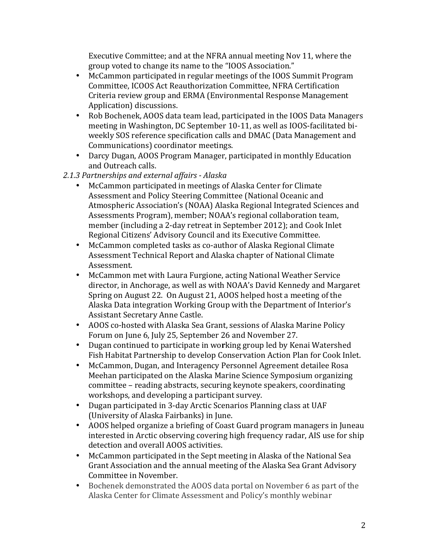Executive Committee; and at the NFRA annual meeting Nov 11, where the group voted to change its name to the "IOOS Association."

- McCammon participated in regular meetings of the IOOS Summit Program Committee, ICOOS Act Reauthorization Committee, NFRA Certification Criteria review group and ERMA (Environmental Response Management Application) discussions.
- Rob Bochenek, AOOS data team lead, participated in the IOOS Data Managers meeting in Washington, DC September 10-11, as well as IOOS-facilitated biweekly SOS reference specification calls and DMAC (Data Management and Communications) coordinator meetings.
- Darcy Dugan, AOOS Program Manager, participated in monthly Education and Outreach calls.
- *2.1.3 Partnerships and external affairs - Alaska*
	- McCammon participated in meetings of Alaska Center for Climate Assessment and Policy Steering Committee (National Oceanic and Atmospheric Association's (NOAA) Alaska Regional Integrated Sciences and Assessments Program), member; NOAA's regional collaboration team, member (including a 2-day retreat in September 2012); and Cook Inlet Regional Citizens' Advisory Council and its Executive Committee.
	- McCammon completed tasks as co-author of Alaska Regional Climate Assessment Technical Report and Alaska chapter of National Climate Assessment.
	- McCammon met with Laura Furgione, acting National Weather Service director, in Anchorage, as well as with NOAA's David Kennedy and Margaret Spring on August 22. On August 21, AOOS helped host a meeting of the Alaska Data integration Working Group with the Department of Interior's Assistant Secretary Anne Castle.
	- AOOS co-hosted with Alaska Sea Grant, sessions of Alaska Marine Policy Forum on June 6, July 25, September 26 and November 27.
	- Dugan continued to participate in working group led by Kenai Watershed Fish Habitat Partnership to develop Conservation Action Plan for Cook Inlet.
	- McCammon, Dugan, and Interagency Personnel Agreement detailee Rosa Meehan participated on the Alaska Marine Science Symposium organizing committee – reading abstracts, securing keynote speakers, coordinating workshops, and developing a participant survey.
	- Dugan participated in 3-day Arctic Scenarios Planning class at UAF (University of Alaska Fairbanks) in June.
	- AOOS helped organize a briefing of Coast Guard program managers in Juneau interested in Arctic observing covering high frequency radar, AIS use for ship detection and overall AOOS activities.
	- McCammon participated in the Sept meeting in Alaska of the National Sea Grant Association and the annual meeting of the Alaska Sea Grant Advisory Committee in November.
	- Bochenek demonstrated the AOOS data portal on November 6 as part of the Alaska Center for Climate Assessment and Policy's monthly webinar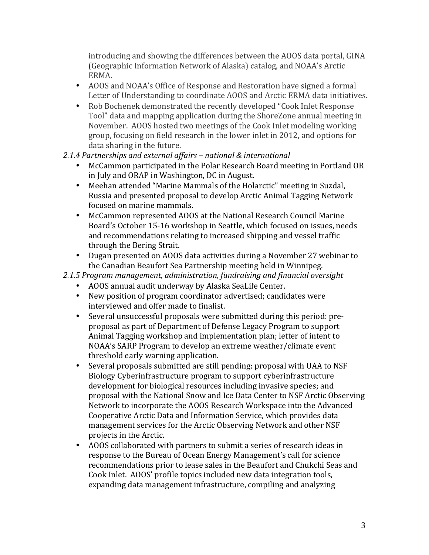introducing and showing the differences between the AOOS data portal, GINA (Geographic Information Network of Alaska) catalog, and NOAA's Arctic ERMA.

- AOOS and NOAA's Office of Response and Restoration have signed a formal Letter of Understanding to coordinate AOOS and Arctic ERMA data initiatives.
- Rob Bochenek demonstrated the recently developed "Cook Inlet Response" Tool" data and mapping application during the ShoreZone annual meeting in November. AOOS hosted two meetings of the Cook Inlet modeling working group, focusing on field research in the lower inlet in 2012, and options for data sharing in the future.

### *2.1.4 Partnerships and external affairs – national & international*

- McCammon participated in the Polar Research Board meeting in Portland OR in July and ORAP in Washington, DC in August.
- Meehan attended "Marine Mammals of the Holarctic" meeting in Suzdal, Russia and presented proposal to develop Arctic Animal Tagging Network focused on marine mammals.
- McCammon represented AOOS at the National Research Council Marine Board's October 15-16 workshop in Seattle, which focused on issues, needs and recommendations relating to increased shipping and vessel traffic through the Bering Strait.
- Dugan presented on AOOS data activities during a November 27 webinar to the Canadian Beaufort Sea Partnership meeting held in Winnipeg.
- *2.1.5 Program management, administration, fundraising and financial oversight*
	- AOOS annual audit underway by Alaska SeaLife Center.
	- New position of program coordinator advertised; candidates were interviewed and offer made to finalist.
	- Several unsuccessful proposals were submitted during this period: preproposal as part of Department of Defense Legacy Program to support Animal Tagging workshop and implementation plan; letter of intent to NOAA's SARP Program to develop an extreme weather/climate event threshold early warning application.
	- Several proposals submitted are still pending: proposal with UAA to NSF Biology Cyberinfrastructure program to support cyberinfrastructure development for biological resources including invasive species; and proposal with the National Snow and Ice Data Center to NSF Arctic Observing Network to incorporate the AOOS Research Workspace into the Advanced Cooperative Arctic Data and Information Service, which provides data management services for the Arctic Observing Network and other NSF projects in the Arctic.
	- AOOS collaborated with partners to submit a series of research ideas in response to the Bureau of Ocean Energy Management's call for science recommendations prior to lease sales in the Beaufort and Chukchi Seas and Cook Inlet. AOOS' profile topics included new data integration tools, expanding data management infrastructure, compiling and analyzing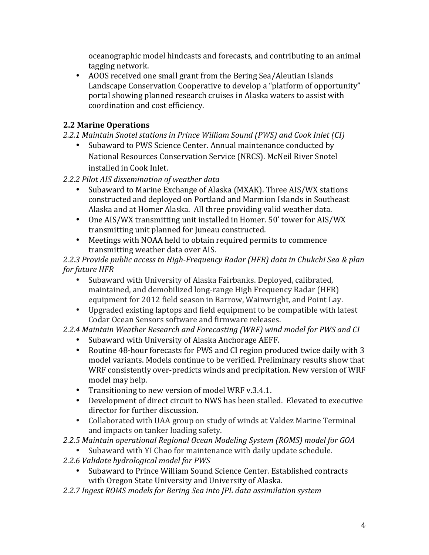oceanographic model hindcasts and forecasts, and contributing to an animal tagging network.

• AOOS received one small grant from the Bering Sea/Aleutian Islands Landscape Conservation Cooperative to develop a "platform of opportunity" portal showing planned research cruises in Alaska waters to assist with coordination and cost efficiency.

## **2.2 Marine Operations**

- *2.2.1 Maintain Snotel stations in Prince William Sound (PWS) and Cook Inlet (CI)*
	- Subaward to PWS Science Center. Annual maintenance conducted by National Resources Conservation Service (NRCS). McNeil River Snotel installed in Cook Inlet.
- *2.2.2 Pilot AIS dissemination of weather data*
	- Subaward to Marine Exchange of Alaska (MXAK). Three AIS/WX stations constructed and deployed on Portland and Marmion Islands in Southeast Alaska and at Homer Alaska. All three providing valid weather data.
	- One AIS/WX transmitting unit installed in Homer. 50' tower for AIS/WX transmitting unit planned for Juneau constructed.
	- Meetings with NOAA held to obtain required permits to commence transmitting weather data over AIS.

2.2.3 Provide public access to High-Frequency Radar (HFR) data in Chukchi Sea & plan *for future HFR* 

- Subaward with University of Alaska Fairbanks. Deployed, calibrated, maintained, and demobilized long-range High Frequency Radar (HFR) equipment for 2012 field season in Barrow, Wainwright, and Point Lay.
- Upgraded existing laptops and field equipment to be compatible with latest Codar Ocean Sensors software and firmware releases.

### *2.2.4 Maintain Weather Research and Forecasting (WRF) wind model for PWS and CI*

- Subaward with University of Alaska Anchorage AEFF.
- Routine 48-hour forecasts for PWS and CI region produced twice daily with 3 model variants. Models continue to be verified. Preliminary results show that WRF consistently over-predicts winds and precipitation. New version of WRF model may help.
- Transitioning to new version of model WRF v.3.4.1.
- Development of direct circuit to NWS has been stalled. Elevated to executive director for further discussion.
- Collaborated with UAA group on study of winds at Valdez Marine Terminal and impacts on tanker loading safety.

### *2.2.5 Maintain operational Regional Ocean Modeling System (ROMS) model for GOA*

- Subaward with YI Chao for maintenance with daily update schedule.
- 2.2.6 Validate hydrological model for PWS
	- Subaward to Prince William Sound Science Center. Established contracts with Oregon State University and University of Alaska.
- 2.2.7 Ingest ROMS models for Bering Sea into *JPL* data assimilation system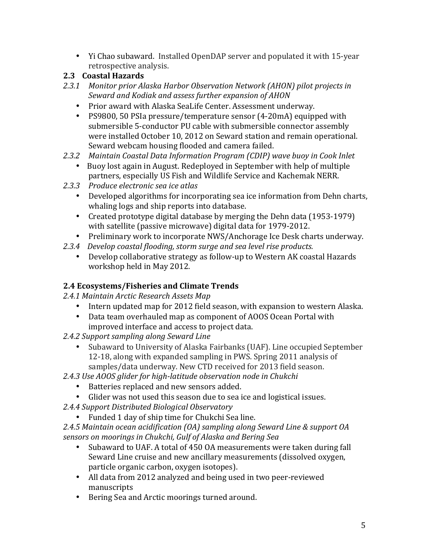• Yi Chao subaward. Installed OpenDAP server and populated it with 15-year retrospective analysis.

## **2.3 Coastal Hazards**

- 2.3.1 Monitor prior Alaska Harbor Observation Network (AHON) pilot projects in Seward and Kodiak and assess further expansion of AHON
	- Prior award with Alaska SeaLife Center. Assessment underway.
	- PS9800, 50 PSIa pressure/temperature sensor (4-20mA) equipped with submersible 5-conductor PU cable with submersible connector assembly were installed October 10, 2012 on Seward station and remain operational. Seward webcam housing flooded and camera failed.
- *2.3.2 Maintain Coastal Data Information Program (CDIP) wave buoy in Cook Inlet*
	- Buoy lost again in August. Redeployed in September with help of multiple partners, especially US Fish and Wildlife Service and Kachemak NERR.
- *2.3.3 Produce electronic sea ice atlas*
	- Developed algorithms for incorporating sea ice information from Dehn charts, whaling logs and ship reports into database.
	- Created prototype digital database by merging the Dehn data (1953-1979) with satellite (passive microwave) digital data for 1979-2012.
	- Preliminary work to incorporate NWS/Anchorage Ice Desk charts underway.
- 2.3.4 Develop coastal flooding, storm surge and sea level rise products.
	- Develop collaborative strategy as follow-up to Western AK coastal Hazards workshop held in May 2012.

## **2.4 Ecosystems/Fisheries and Climate Trends**

- *2.4.1 Maintain Arctic Research Assets Map*
	- Intern updated map for 2012 field season, with expansion to western Alaska.
	- Data team overhauled map as component of AOOS Ocean Portal with improved interface and access to project data.
- 2.4.2 Support sampling along Seward Line
	- Subaward to University of Alaska Fairbanks (UAF). Line occupied September 12-18, along with expanded sampling in PWS. Spring 2011 analysis of samples/data underway. New CTD received for 2013 field season.
- 2.4.3 Use AOOS glider for high-latitude observation node in Chukchi
	- Batteries replaced and new sensors added.
	- Glider was not used this season due to sea ice and logistical issues.
- *2.4.4 Support Distributed Biological Observatory*
	- Funded 1 day of ship time for Chukchi Sea line.

*2.4.5 Maintain ocean acidification (OA) sampling along Seward Line & support OA sensors on moorings in Chukchi, Gulf of Alaska and Bering Sea*

- Subaward to UAF. A total of 450 OA measurements were taken during fall Seward Line cruise and new ancillary measurements (dissolved oxygen, particle organic carbon, oxygen isotopes).
- All data from 2012 analyzed and being used in two peer-reviewed manuscripts
- Bering Sea and Arctic moorings turned around.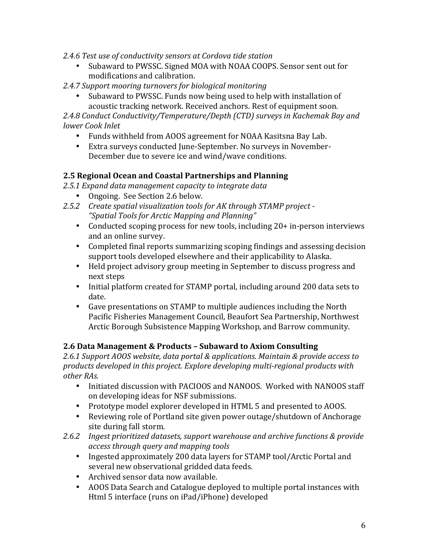#### 2.4.6 Test use of conductivity sensors at Cordova tide station

- Subaward to PWSSC. Signed MOA with NOAA COOPS. Sensor sent out for modifications and calibration.
- 2.4.7 Support mooring turnovers for biological monitoring
	- Subaward to PWSSC. Funds now being used to help with installation of acoustic tracking network. Received anchors. Rest of equipment soon.

2.4.8 Conduct Conductivity/Temperature/Depth (CTD) surveys in Kachemak Bay and *lower Cook Inlet*

- Funds withheld from AOOS agreement for NOAA Kasitsna Bay Lab.
- Extra surveys conducted June-September. No surveys in November-December due to severe ice and wind/wave conditions.

#### **2.5 Regional Ocean and Coastal Partnerships and Planning**

- 2.5.1 Expand data management capacity to integrate data
	- Ongoing. See Section 2.6 below.
- 2.5.2 Create spatial visualization tools for AK through STAMP project -*"Spatial Tools for Arctic Mapping and Planning"*
	- Conducted scoping process for new tools, including 20+ in-person interviews and an online survey.
	- Completed final reports summarizing scoping findings and assessing decision support tools developed elsewhere and their applicability to Alaska.
	- Held project advisory group meeting in September to discuss progress and next steps
	- Initial platform created for STAMP portal, including around 200 data sets to date.
	- Gave presentations on STAMP to multiple audiences including the North Pacific Fisheries Management Council, Beaufort Sea Partnership, Northwest Arctic Borough Subsistence Mapping Workshop, and Barrow community.

#### **2.6 Data Management & Products – Subaward to Axiom Consulting**

2.6.1 Support AOOS website, data portal & applications. Maintain & provide access to products developed in this project. Explore developing multi-regional products with *other RAs.*

- Initiated discussion with PACIOOS and NANOOS. Worked with NANOOS staff on developing ideas for NSF submissions.
- Prototype model explorer developed in HTML 5 and presented to AOOS.
- Reviewing role of Portland site given power outage/shutdown of Anchorage site during fall storm.
- 2.6.2 *Ingest prioritized datasets, support warehouse and archive functions & provide access through query and mapping tools*
	- Ingested approximately 200 data layers for STAMP tool/Arctic Portal and several new observational gridded data feeds.
	- Archived sensor data now available.
	- AOOS Data Search and Catalogue deployed to multiple portal instances with Html 5 interface (runs on iPad/iPhone) developed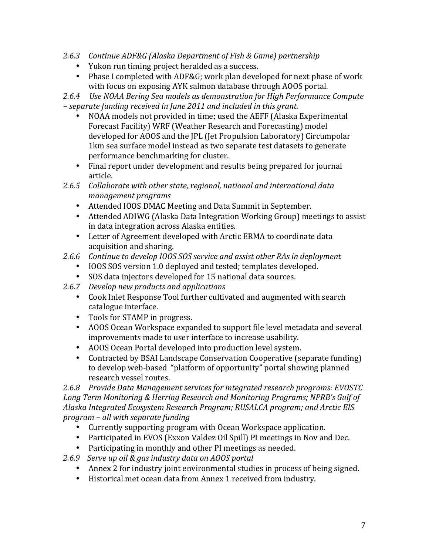- 2.6.3 Continue ADF&G (Alaska Department of Fish & Game) partnership
	- Yukon run timing project heralded as a success.
	- Phase I completed with ADF&G; work plan developed for next phase of work with focus on exposing AYK salmon database through AOOS portal.

*2.6.4 Use NOAA Bering Sea models as demonstration for High Performance Compute – separate funding received in June 2011 and included in this grant.*

- NOAA models not provided in time; used the AEFF (Alaska Experimental Forecast Facility) WRF (Weather Research and Forecasting) model developed for AOOS and the JPL (Jet Propulsion Laboratory) Circumpolar 1km sea surface model instead as two separate test datasets to generate performance benchmarking for cluster.
- Final report under development and results being prepared for journal article.
- 2.6.5 Collaborate with other state, regional, national and international data *management programs*
	- Attended IOOS DMAC Meeting and Data Summit in September.
	- Attended ADIWG (Alaska Data Integration Working Group) meetings to assist in data integration across Alaska entities.
	- Letter of Agreement developed with Arctic ERMA to coordinate data acquisition and sharing.
- 2.6.6 Continue to develop IOOS SOS service and assist other RAs in deployment
	- IOOS SOS version 1.0 deployed and tested; templates developed.
	- SOS data injectors developed for 15 national data sources.
- 2.6.7 *Develop new products and applications* 
	- Cook Inlet Response Tool further cultivated and augmented with search catalogue interface.
	- Tools for STAMP in progress.
	- AOOS Ocean Workspace expanded to support file level metadata and several improvements made to user interface to increase usability.
	- AOOS Ocean Portal developed into production level system.
	- Contracted by BSAI Landscape Conservation Cooperative (separate funding) to develop web-based "platform of opportunity" portal showing planned research vessel routes.

2.6.8 Provide Data Management services for integrated research programs: EVOSTC Long Term Monitoring & Herring Research and Monitoring Programs; NPRB's Gulf of Alaska Integrated *Ecosystem Research Program; RUSALCA program;* and Arctic *EIS program – all with separate funding*

- Currently supporting program with Ocean Workspace application.
- Participated in EVOS (Exxon Valdez Oil Spill) PI meetings in Nov and Dec.
- Participating in monthly and other PI meetings as needed.
- *2.6.9 Serve up oil & gas industry data on AOOS portal*
	- Annex 2 for industry joint environmental studies in process of being signed.
	- Historical met ocean data from Annex 1 received from industry.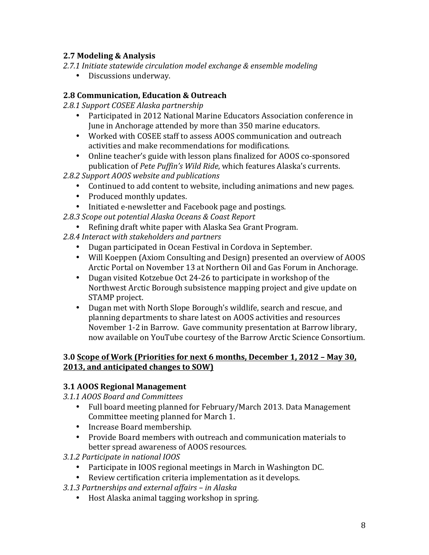### **2.7 Modeling & Analysis**

- 2.7.1 Initiate statewide circulation model exchange & ensemble modeling
	- Discussions underway.

#### **2.8 Communication, Education & Outreach**

*2.8.1 Support COSEE Alaska partnership*

- Participated in 2012 National Marine Educators Association conference in June in Anchorage attended by more than 350 marine educators.
- Worked with COSEE staff to assess AOOS communication and outreach activities and make recommendations for modifications.
- Online teacher's guide with lesson plans finalized for AOOS co-sponsored publication of *Pete Puffin's Wild Ride*, which features Alaska's currents.
- *2.8.2 Support AOOS website and publications*
	- Continued to add content to website, including animations and new pages.
	- Produced monthly updates.
	- Initiated e-newsletter and Facebook page and postings.
- 2.8.3 *Scope out potential Alaska Oceans & Coast Report* 
	- Refining draft white paper with Alaska Sea Grant Program.
- 2.8.4 Interact with stakeholders and partners
	- Dugan participated in Ocean Festival in Cordova in September.
	- Will Koeppen (Axiom Consulting and Design) presented an overview of AOOS Arctic Portal on November 13 at Northern Oil and Gas Forum in Anchorage.
	- Dugan visited Kotzebue Oct 24-26 to participate in workshop of the Northwest Arctic Borough subsistence mapping project and give update on STAMP project.
	- Dugan met with North Slope Borough's wildlife, search and rescue, and planning departments to share latest on AOOS activities and resources November 1-2 in Barrow. Gave community presentation at Barrow library, now available on YouTube courtesy of the Barrow Arctic Science Consortium.

#### **3.0 Scope of Work (Priorities for next 6 months, December 1, 2012 – May 30, 2013, and anticipated changes to SOW)**

#### **3.1 AOOS Regional Management**

*3.1.1 AOOS Board and Committees*

- Full board meeting planned for February/March 2013. Data Management Committee meeting planned for March 1.
- Increase Board membership.
- Provide Board members with outreach and communication materials to better spread awareness of AOOS resources.
- *3.1.2 Participate in national IOOS*
	- Participate in IOOS regional meetings in March in Washington DC.
	- Review certification criteria implementation as it develops.
- *3.1.3 Partnerships and external affairs – in Alaska*
	- Host Alaska animal tagging workshop in spring.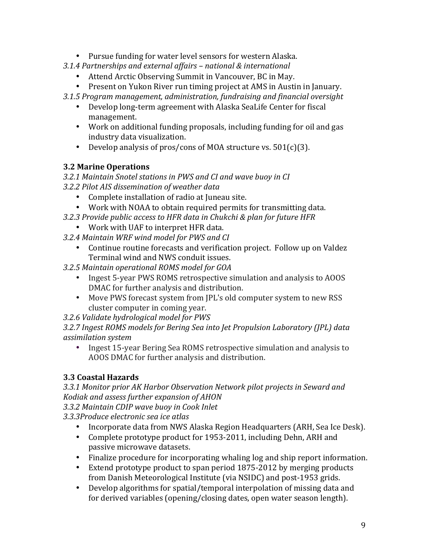- Pursue funding for water level sensors for western Alaska.
- *3.1.4 Partnerships and external affairs – national & international*
	- Attend Arctic Observing Summit in Vancouver, BC in May.
	- Present on Yukon River run timing project at AMS in Austin in January.
- *3.1.5 Program management, administration, fundraising and financial oversight*
	- Develop long-term agreement with Alaska SeaLife Center for fiscal management.
	- Work on additional funding proposals, including funding for oil and gas industry data visualization.
	- Develop analysis of pros/cons of MOA structure vs.  $501(c)(3)$ .

### **3.2 Marine Operations**

*3.2.1 Maintain Snotel stations in PWS and CI and wave buoy in CI*

- *3.2.2 Pilot AIS dissemination of weather data*
	- Complete installation of radio at Juneau site.
	- Work with NOAA to obtain required permits for transmitting data.
- *3.2.3 Provide public access to HFR data in Chukchi & plan for future HFR*
	- Work with UAF to interpret HFR data.
- *3.2.4 Maintain WRF wind model for PWS and CI*
	- Continue routine forecasts and verification project. Follow up on Valdez Terminal wind and NWS conduit issues.
- *3.2.5 Maintain operational ROMS model for GOA*
	- Ingest 5-year PWS ROMS retrospective simulation and analysis to AOOS DMAC for further analysis and distribution.
	- Move PWS forecast system from JPL's old computer system to new RSS cluster computer in coming year.
- *3.2.6 Validate hydrological model for PWS*

3.2.7 Ingest ROMS models for Bering Sea into Jet Propulsion Laboratory (JPL) data *assimilation system*

• Ingest 15-year Bering Sea ROMS retrospective simulation and analysis to AOOS DMAC for further analysis and distribution.

## **3.3 Coastal Hazards**

3.3.1 Monitor prior AK Harbor Observation Network pilot projects in Seward and *Kodiak and assess further expansion of AHON*

*3.3.2 Maintain CDIP wave buoy in Cook Inlet*

*3.3.3Produce electronic sea ice atlas*

- Incorporate data from NWS Alaska Region Headquarters (ARH, Sea Ice Desk).
- Complete prototype product for 1953-2011, including Dehn, ARH and passive microwave datasets.
- Finalize procedure for incorporating whaling log and ship report information.
- Extend prototype product to span period 1875-2012 by merging products from Danish Meteorological Institute (via NSIDC) and post-1953 grids.
- Develop algorithms for spatial/temporal interpolation of missing data and for derived variables (opening/closing dates, open water season length).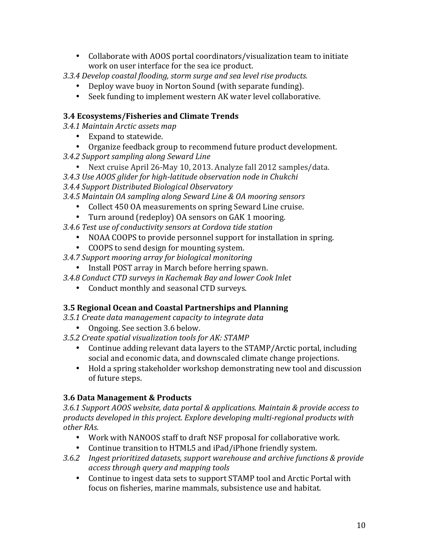- Collaborate with AOOS portal coordinators/visualization team to initiate work on user interface for the sea ice product.
- *3.3.4 Develop coastal flooding, storm surge and sea level rise products.*
	- Deploy wave buoy in Norton Sound (with separate funding).
	- Seek funding to implement western AK water level collaborative.

### **3.4 Ecosystems/Fisheries and Climate Trends**

- *3.4.1 Maintain Arctic assets map*
	- Expand to statewide.
	- Organize feedback group to recommend future product development.
- *3.4.2 Support sampling along Seward Line*
	- Next cruise April 26-May 10, 2013. Analyze fall 2012 samples/data.
- *3.4.3 Use AOOS glider for high-latitude observation node in Chukchi*
- *3.4.4 Support Distributed Biological Observatory*
- *3.4.5 Maintain OA sampling along Seward Line & OA mooring sensors*
	- Collect 450 OA measurements on spring Seward Line cruise.
	- Turn around (redeploy) OA sensors on GAK 1 mooring.
- *3.4.6 Test use of conductivity sensors at Cordova tide station*
	- NOAA COOPS to provide personnel support for installation in spring.
	- COOPS to send design for mounting system.
- *3.4.7 Support mooring array for biological monitoring*
	- Install POST array in March before herring spawn.
- *3.4.8 Conduct CTD surveys in Kachemak Bay and lower Cook Inlet*
	- Conduct monthly and seasonal CTD surveys.

### **3.5 Regional Ocean and Coastal Partnerships and Planning**

- *3.5.1 Create data management capacity to integrate data*
	- Ongoing. See section 3.6 below.
- *3.5.2 Create spatial visualization tools for AK: STAMP*
	- Continue adding relevant data layers to the STAMP/Arctic portal, including social and economic data, and downscaled climate change projections.
	- Hold a spring stakeholder workshop demonstrating new tool and discussion of future steps.

### **3.6 Data Management & Products**

3.6.1 Support AOOS website, data portal & applications. Maintain & provide access to products developed in this project. Explore developing multi-regional products with *other RAs.*

- Work with NANOOS staff to draft NSF proposal for collaborative work.
- Continue transition to HTML5 and iPad/iPhone friendly system.
- 3.6.2 *Ingest prioritized datasets, support warehouse and archive functions & provide access through query and mapping tools*
	- Continue to ingest data sets to support STAMP tool and Arctic Portal with focus on fisheries, marine mammals, subsistence use and habitat.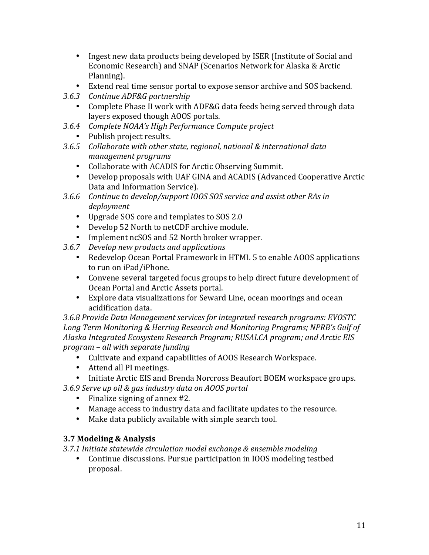- Ingest new data products being developed by ISER (Institute of Social and Economic Research) and SNAP (Scenarios Network for Alaska & Arctic Planning).
- Extend real time sensor portal to expose sensor archive and SOS backend.
- *3.6.3 Continue ADF&G partnership*
	- Complete Phase II work with ADF&G data feeds being served through data layers exposed though AOOS portals.
- *3.6.4 Complete NOAA's High Performance Compute project*
	- Publish project results.
- 3.6.5 Collaborate with other state, regional, national & international data *management programs*
	- Collaborate with ACADIS for Arctic Observing Summit.
	- Develop proposals with UAF GINA and ACADIS (Advanced Cooperative Arctic Data and Information Service).
- 3.6.6 Continue to develop/support IOOS SOS service and assist other RAs in *deployment*
	- Upgrade SOS core and templates to SOS 2.0
	- Develop 52 North to netCDF archive module.
	- Implement ncSOS and 52 North broker wrapper.
- 3.6.7 *Develop new products and applications* 
	- Redevelop Ocean Portal Framework in HTML 5 to enable AOOS applications to run on iPad/iPhone.
	- Convene several targeted focus groups to help direct future development of Ocean Portal and Arctic Assets portal.
	- Explore data visualizations for Seward Line, ocean moorings and ocean acidification data.

3.6.8 Provide Data Management services for integrated research programs: EVOSTC Long Term Monitoring & Herring Research and Monitoring Programs; NPRB's Gulf of Alaska Integrated *Ecosystem Research Program; RUSALCA program;* and Arctic *EIS program – all with separate funding*

- Cultivate and expand capabilities of AOOS Research Workspace.
- Attend all PI meetings.
- Initiate Arctic EIS and Brenda Norcross Beaufort BOEM workspace groups.

*3.6.9 Serve up oil & gas industry data on AOOS portal*

- Finalize signing of annex  $#2$ .
- Manage access to industry data and facilitate updates to the resource.
- Make data publicly available with simple search tool.

### **3.7 Modeling & Analysis**

3.7.1 Initiate statewide circulation model exchange & ensemble modeling

Continue discussions. Pursue participation in IOOS modeling testbed proposal.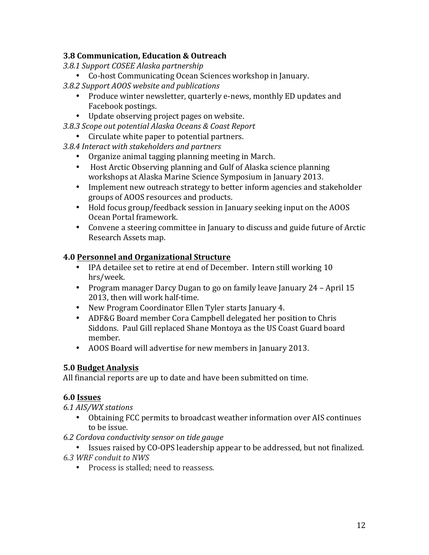#### **3.8 Communication, Education & Outreach**

- *3.8.1 Support COSEE Alaska partnership*
	- Co-host Communicating Ocean Sciences workshop in January.
- *3.8.2 Support AOOS website and publications*
	- Produce winter newsletter, quarterly e-news, monthly ED updates and Facebook postings.
	- Update observing project pages on website.
- *3.8.3 Scope out potential Alaska Oceans & Coast Report*
- Circulate white paper to potential partners.
- *3.8.4 Interact with stakeholders and partners*
	- Organize animal tagging planning meeting in March.
	- Host Arctic Observing planning and Gulf of Alaska science planning workshops at Alaska Marine Science Symposium in January 2013.
	- Implement new outreach strategy to better inform agencies and stakeholder groups of AOOS resources and products.
	- Hold focus group/feedback session in January seeking input on the AOOS Ocean Portal framework.
	- Convene a steering committee in January to discuss and guide future of Arctic Research Assets map.

#### **4.0 Personnel and Organizational Structure**

- IPA detailee set to retire at end of December. Intern still working 10 hrs/week.
- Program manager Darcy Dugan to go on family leave January 24 April 15 2013, then will work half-time.
- New Program Coordinator Ellen Tyler starts January 4.
- ADF&G Board member Cora Campbell delegated her position to Chris Siddons. Paul Gill replaced Shane Montoya as the US Coast Guard board member.
- AOOS Board will advertise for new members in January 2013.

#### **5.0 Budget Analysis**

All financial reports are up to date and have been submitted on time.

#### **6.0 Issues**

*6.1 AIS/WX stations* 

- Obtaining FCC permits to broadcast weather information over AIS continues to be issue.
- *6.2 Cordova conductivity sensor on tide gauge*
- Issues raised by CO-OPS leadership appear to be addressed, but not finalized. *6.3 WRF conduit to NWS*
	- Process is stalled: need to reassess.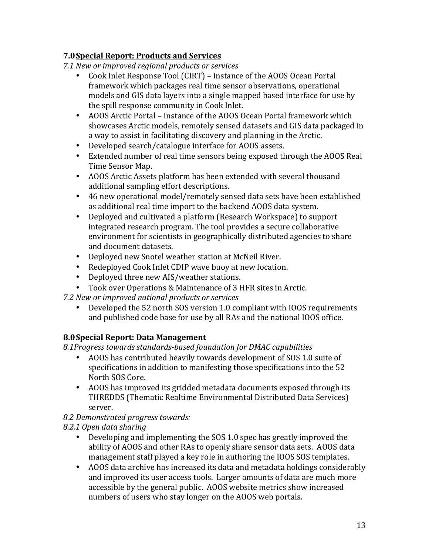### **7.0Special Report: Products and Services**

*7.1 New or improved regional products or services*

- Cook Inlet Response Tool (CIRT) Instance of the AOOS Ocean Portal framework which packages real time sensor observations, operational models and GIS data layers into a single mapped based interface for use by the spill response community in Cook Inlet.
- AOOS Arctic Portal Instance of the AOOS Ocean Portal framework which showcases Arctic models, remotely sensed datasets and GIS data packaged in a way to assist in facilitating discovery and planning in the Arctic.
- Developed search/catalogue interface for AOOS assets.
- Extended number of real time sensors being exposed through the AOOS Real Time Sensor Map.
- AOOS Arctic Assets platform has been extended with several thousand additional sampling effort descriptions.
- 46 new operational model/remotely sensed data sets have been established as additional real time import to the backend AOOS data system.
- Deployed and cultivated a platform (Research Workspace) to support integrated research program. The tool provides a secure collaborative environment for scientists in geographically distributed agencies to share and document datasets.
- Deployed new Snotel weather station at McNeil River.
- Redeployed Cook Inlet CDIP wave buoy at new location.
- Deployed three new AIS/weather stations.
- Took over Operations & Maintenance of 3 HFR sites in Arctic.
- *7.2 New or improved national products or services*
	- Developed the 52 north SOS version 1.0 compliant with IOOS requirements and published code base for use by all RAs and the national IOOS office.

### **8.0 Special Report: Data Management**

8.1Progress towards standards-based foundation for DMAC capabilities

- AOOS has contributed heavily towards development of SOS 1.0 suite of specifications in addition to manifesting those specifications into the 52 North SOS Core.
- AOOS has improved its gridded metadata documents exposed through its THREDDS (Thematic Realtime Environmental Distributed Data Services) server.

### *8.2 Demonstrated progress towards:*

*8.2.1 Open data sharing*

- Developing and implementing the SOS 1.0 spec has greatly improved the ability of AOOS and other RAs to openly share sensor data sets. AOOS data management staff played a key role in authoring the IOOS SOS templates.
- AOOS data archive has increased its data and metadata holdings considerably and improved its user access tools. Larger amounts of data are much more accessible by the general public. AOOS website metrics show increased numbers of users who stay longer on the AOOS web portals.